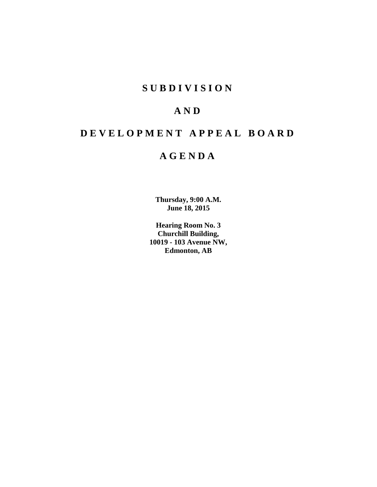## **S U B D I V I S I O N**

# **A N D**

# **D E V E L O P M E N T A P P E A L B O A R D**

## **A G E N D A**

**Thursday, 9:00 A.M. June 18, 2015**

**Hearing Room No. 3 Churchill Building, 10019 - 103 Avenue NW, Edmonton, AB**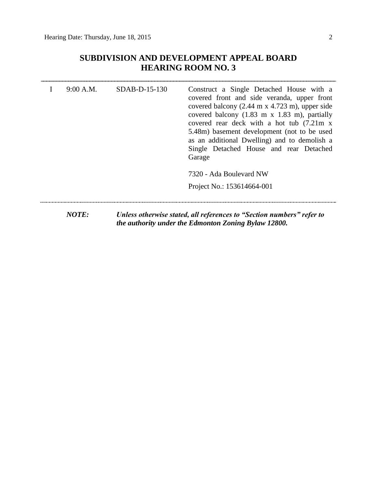### **SUBDIVISION AND DEVELOPMENT APPEAL BOARD HEARING ROOM NO. 3**

| 9:00 A.M.    | $SDAB-D-15-130$ | Construct a Single Detached House with a<br>covered front and side veranda, upper front<br>covered balcony $(2.44 \text{ m} \times 4.723 \text{ m})$ , upper side<br>covered balcony $(1.83 \text{ m x } 1.83 \text{ m})$ , partially<br>covered rear deck with a hot tub (7.21m x)<br>5.48m) basement development (not to be used<br>as an additional Dwelling) and to demolish a<br>Single Detached House and rear Detached<br>Garage |
|--------------|-----------------|-----------------------------------------------------------------------------------------------------------------------------------------------------------------------------------------------------------------------------------------------------------------------------------------------------------------------------------------------------------------------------------------------------------------------------------------|
|              |                 | 7320 - Ada Boulevard NW<br>Project No.: 153614664-001                                                                                                                                                                                                                                                                                                                                                                                   |
| <b>NOTE:</b> |                 | Unless otherwise stated, all references to "Section numbers" refer to<br>the authority under the Edmonton Zoning Bylaw 12800.                                                                                                                                                                                                                                                                                                           |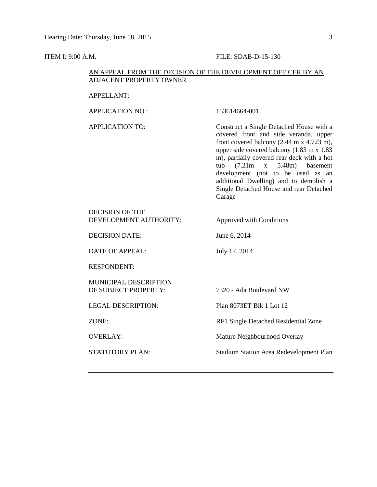### **ITEM I: 9:00 A.M. FILE: SDAB-D-15-130**

### AN APPEAL FROM THE DECISION OF THE DEVELOPMENT OFFICER BY AN ADJACENT PROPERTY OWNER

| <b>APPELLANT:</b>                                |                                                                                                                                                                                                                                                                                                                                                                                                                                                   |
|--------------------------------------------------|---------------------------------------------------------------------------------------------------------------------------------------------------------------------------------------------------------------------------------------------------------------------------------------------------------------------------------------------------------------------------------------------------------------------------------------------------|
| <b>APPLICATION NO.:</b>                          | 153614664-001                                                                                                                                                                                                                                                                                                                                                                                                                                     |
| <b>APPLICATION TO:</b>                           | Construct a Single Detached House with a<br>covered front and side veranda, upper<br>front covered balcony $(2.44 \text{ m x } 4.723 \text{ m})$ ,<br>upper side covered balcony $(1.83 \text{ m x } 1.83)$<br>m), partially covered rear deck with a hot<br>(7.21m)<br>5.48m) basement<br>tub<br>$\mathbf X$<br>development (not to be used as an<br>additional Dwelling) and to demolish a<br>Single Detached House and rear Detached<br>Garage |
| <b>DECISION OF THE</b><br>DEVELOPMENT AUTHORITY: | Approved with Conditions                                                                                                                                                                                                                                                                                                                                                                                                                          |
| <b>DECISION DATE:</b>                            | June 6, 2014                                                                                                                                                                                                                                                                                                                                                                                                                                      |
| <b>DATE OF APPEAL:</b>                           | July 17, 2014                                                                                                                                                                                                                                                                                                                                                                                                                                     |
| <b>RESPONDENT:</b>                               |                                                                                                                                                                                                                                                                                                                                                                                                                                                   |
| MUNICIPAL DESCRIPTION<br>OF SUBJECT PROPERTY:    | 7320 - Ada Boulevard NW                                                                                                                                                                                                                                                                                                                                                                                                                           |
| <b>LEGAL DESCRIPTION:</b>                        | Plan 8073ET Blk 1 Lot 12                                                                                                                                                                                                                                                                                                                                                                                                                          |
| ZONE:                                            | RF1 Single Detached Residential Zone                                                                                                                                                                                                                                                                                                                                                                                                              |
| <b>OVERLAY:</b>                                  | Mature Neighbourhood Overlay                                                                                                                                                                                                                                                                                                                                                                                                                      |
| <b>STATUTORY PLAN:</b>                           | <b>Stadium Station Area Redevelopment Plan</b>                                                                                                                                                                                                                                                                                                                                                                                                    |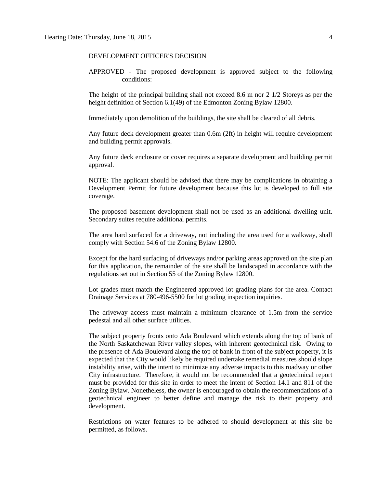#### DEVELOPMENT OFFICER'S DECISION

APPROVED - The proposed development is approved subject to the following conditions:

The height of the principal building shall not exceed 8.6 m nor 2 1/2 Storeys as per the height definition of Section 6.1(49) of the Edmonton Zoning Bylaw 12800.

Immediately upon demolition of the buildings, the site shall be cleared of all debris.

Any future deck development greater than 0.6m (2ft) in height will require development and building permit approvals.

Any future deck enclosure or cover requires a separate development and building permit approval.

NOTE: The applicant should be advised that there may be complications in obtaining a Development Permit for future development because this lot is developed to full site coverage.

The proposed basement development shall not be used as an additional dwelling unit. Secondary suites require additional permits.

The area hard surfaced for a driveway, not including the area used for a walkway, shall comply with Section 54.6 of the Zoning Bylaw 12800.

Except for the hard surfacing of driveways and/or parking areas approved on the site plan for this application, the remainder of the site shall be landscaped in accordance with the regulations set out in Section 55 of the Zoning Bylaw 12800.

Lot grades must match the Engineered approved lot grading plans for the area. Contact Drainage Services at 780-496-5500 for lot grading inspection inquiries.

The driveway access must maintain a minimum clearance of 1.5m from the service pedestal and all other surface utilities.

The subject property fronts onto Ada Boulevard which extends along the top of bank of the North Saskatchewan River valley slopes, with inherent geotechnical risk. Owing to the presence of Ada Boulevard along the top of bank in front of the subject property, it is expected that the City would likely be required undertake remedial measures should slope instability arise, with the intent to minimize any adverse impacts to this roadway or other City infrastructure. Therefore, it would not be recommended that a geotechnical report must be provided for this site in order to meet the intent of Section 14.1 and 811 of the Zoning Bylaw. Nonetheless, the owner is encouraged to obtain the recommendations of a geotechnical engineer to better define and manage the risk to their property and development.

Restrictions on water features to be adhered to should development at this site be permitted, as follows.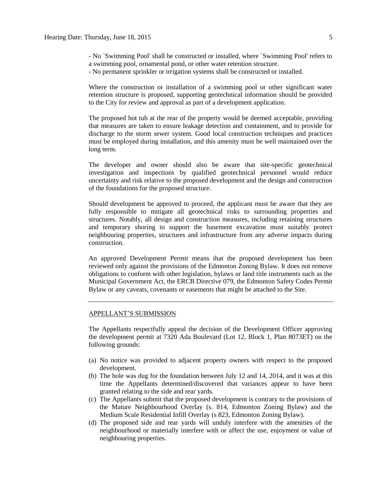- No `Swimming Pool' shall be constructed or installed, where `Swimming Pool' refers to a swimming pool, ornamental pond, or other water retention structure.

- No permanent sprinkler or irrigation systems shall be constructed or installed.

Where the construction or installation of a swimming pool or other significant water retention structure is proposed, supporting geotechnical information should be provided to the City for review and approval as part of a development application.

The proposed hot tub at the rear of the property would be deemed acceptable, providing that measures are taken to ensure leakage detection and containment, and to provide for discharge to the storm sewer system. Good local construction techniques and practices must be employed during installation, and this amenity must be well maintained over the long term.

The developer and owner should also be aware that site-specific geotechnical investigation and inspections by qualified geotechnical personnel would reduce uncertainty and risk relative to the proposed development and the design and construction of the foundations for the proposed structure.

Should development be approved to proceed, the applicant must be aware that they are fully responsible to mitigate all geotechnical risks to surrounding properties and structures. Notably, all design and construction measures, including retaining structures and temporary shoring to support the basement excavation must suitably protect neighbouring properties, structures and infrastructure from any adverse impacts during construction.

An approved Development Permit means that the proposed development has been reviewed only against the provisions of the Edmonton Zoning Bylaw. It does not remove obligations to conform with other legislation, bylaws or land title instruments such as the Municipal Government Act, the ERCB Directive 079, the Edmonton Safety Codes Permit Bylaw or any caveats, covenants or easements that might be attached to the Site.

#### APPELLANT'S SUBMISSION

The Appellants respectfully appeal the decision of the Development Officer approving the development permit at 7320 Ada Boulevard (Lot 12, Block 1, Plan 8073ET) on the following grounds:

- (a) No notice was provided to adjacent property owners with respect to the proposed development.
- (b) The hole was dug for the foundation between July 12 and 14, 2014, and it was at this time the Appellants determined/discovered that variances appear to have been granted relating to the side and rear yards.
- (c) The Appellants submit that the proposed development is contrary to the provisions of the Mature Neighbourhood Overlay (s. 814, Edmonton Zoning Bylaw) and the Medium Scale Residential Infill Overlay (s 823, Edmonton Zoning Bylaw).
- (d) The proposed side and rear yards will unduly interfere with the amenities of the neighbourhood or materially interfere with or affect the use, enjoyment or value of neighbouring properties.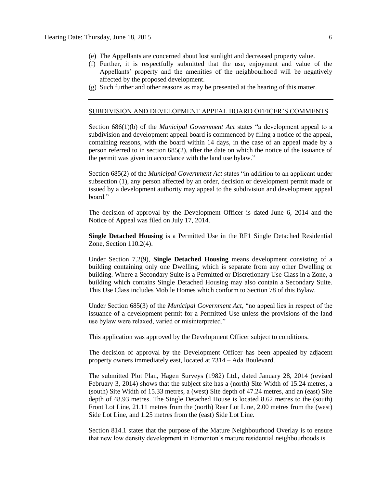- (e) The Appellants are concerned about lost sunlight and decreased property value.
- (f) Further, it is respectfully submitted that the use, enjoyment and value of the Appellants' property and the amenities of the neighbourhood will be negatively affected by the proposed development.
- (g) Such further and other reasons as may be presented at the hearing of this matter.

#### SUBDIVISION AND DEVELOPMENT APPEAL BOARD OFFICER'S COMMENTS

Section 686(1)(b) of the *Municipal Government Act* states "a development appeal to a subdivision and development appeal board is commenced by filing a notice of the appeal, containing reasons, with the board within 14 days, in the case of an appeal made by a person referred to in section 685(2), after the date on which the notice of the issuance of the permit was given in accordance with the land use bylaw."

Section 685(2) of the *Municipal Government Act* states "in addition to an applicant under subsection (1), any person affected by an order, decision or development permit made or issued by a development authority may appeal to the subdivision and development appeal board."

The decision of approval by the Development Officer is dated June 6, 2014 and the Notice of Appeal was filed on July 17, 2014.

**Single Detached Housing** is a Permitted Use in the RF1 Single Detached Residential Zone, Section 110.2(4).

Under Section 7.2(9), **Single Detached Housing** means development consisting of a building containing only one Dwelling, which is separate from any other Dwelling or building. Where a Secondary Suite is a Permitted or Discretionary Use Class in a Zone, a building which contains Single Detached Housing may also contain a Secondary Suite. This Use Class includes Mobile Homes which conform to Section 78 of this Bylaw.

Under Section 685(3) of the *Municipal Government Act*, "no appeal lies in respect of the issuance of a development permit for a Permitted Use unless the provisions of the land use bylaw were relaxed, varied or misinterpreted."

This application was approved by the Development Officer subject to conditions.

The decision of approval by the Development Officer has been appealed by adjacent property owners immediately east, located at 7314 – Ada Boulevard.

The submitted Plot Plan, Hagen Surveys (1982) Ltd., dated January 28, 2014 (revised February 3, 2014) shows that the subject site has a (north) Site Width of 15.24 metres, a (south) Site Width of 15.33 metres, a (west) Site depth of 47.24 metres, and an (east) Site depth of 48.93 metres. The Single Detached House is located 8.62 metres to the (south) Front Lot Line, 21.11 metres from the (north) Rear Lot Line, 2.00 metres from the (west) Side Lot Line, and 1.25 metres from the (east) Side Lot Line.

Section 814.1 states that the purpose of the Mature Neighbourhood Overlay is to ensure that new low density development in Edmonton's mature residential neighbourhoods is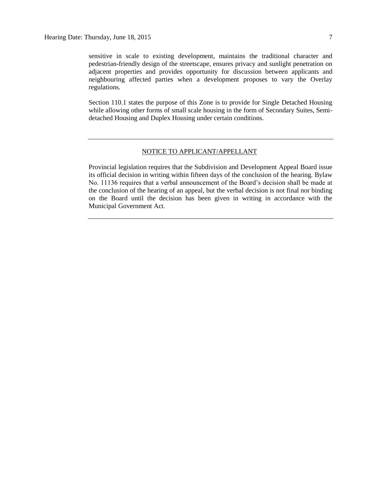sensitive in scale to existing development, maintains the traditional character and pedestrian-friendly design of the streetscape, ensures privacy and sunlight penetration on adjacent properties and provides opportunity for discussion between applicants and neighbouring affected parties when a development proposes to vary the Overlay regulations.

Section 110.1 states the purpose of this Zone is to provide for Single Detached Housing while allowing other forms of small scale housing in the form of Secondary Suites, Semidetached Housing and Duplex Housing under certain conditions.

#### NOTICE TO APPLICANT/APPELLANT

Provincial legislation requires that the Subdivision and Development Appeal Board issue its official decision in writing within fifteen days of the conclusion of the hearing. Bylaw No. 11136 requires that a verbal announcement of the Board's decision shall be made at the conclusion of the hearing of an appeal, but the verbal decision is not final nor binding on the Board until the decision has been given in writing in accordance with the Municipal Government Act.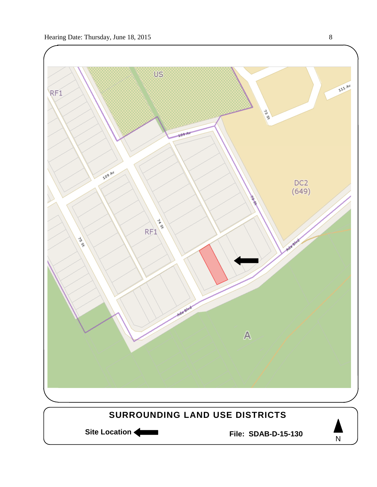